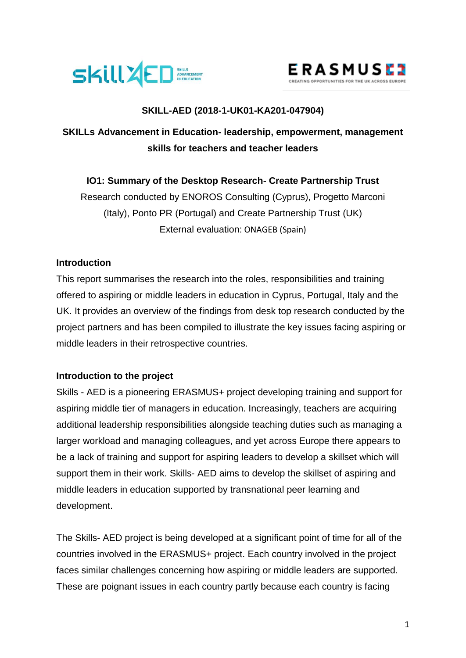



## **SKILL-AED (2018-1-UK01-KA201-047904)**

# **SKILLs Advancement in Education- leadership, empowerment, management skills for teachers and teacher leaders**

## **IO1: Summary of the Desktop Research- Create Partnership Trust**

Research conducted by ENOROS Consulting (Cyprus), Progetto Marconi (Italy), Ponto PR (Portugal) and Create Partnership Trust (UK) External evaluation: ONAGEB (Spain)

## **Introduction**

This report summarises the research into the roles, responsibilities and training offered to aspiring or middle leaders in education in Cyprus, Portugal, Italy and the UK. It provides an overview of the findings from desk top research conducted by the project partners and has been compiled to illustrate the key issues facing aspiring or middle leaders in their retrospective countries.

## **Introduction to the project**

Skills - AED is a pioneering ERASMUS+ project developing training and support for aspiring middle tier of managers in education. Increasingly, teachers are acquiring additional leadership responsibilities alongside teaching duties such as managing a larger workload and managing colleagues, and yet across Europe there appears to be a lack of training and support for aspiring leaders to develop a skillset which will support them in their work. Skills- AED aims to develop the skillset of aspiring and middle leaders in education supported by transnational peer learning and development.

The Skills- AED project is being developed at a significant point of time for all of the countries involved in the ERASMUS+ project. Each country involved in the project faces similar challenges concerning how aspiring or middle leaders are supported. These are poignant issues in each country partly because each country is facing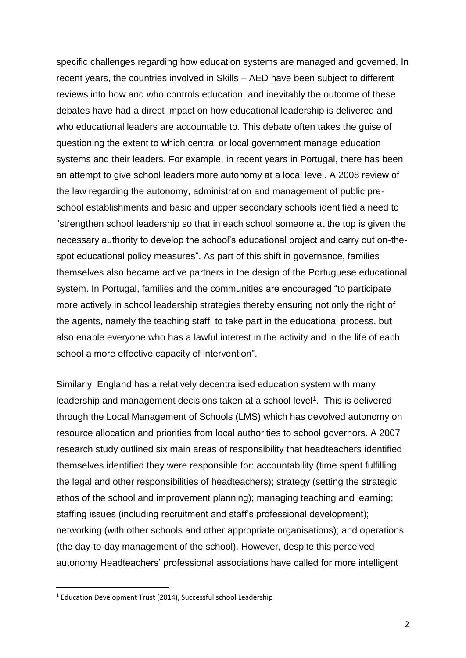specific challenges regarding how education systems are managed and governed. In recent years, the countries involved in Skills – AED have been subject to different reviews into how and who controls education, and inevitably the outcome of these debates have had a direct impact on how educational leadership is delivered and who educational leaders are accountable to. This debate often takes the guise of questioning the extent to which central or local government manage education systems and their leaders. For example, in recent years in Portugal, there has been an attempt to give school leaders more autonomy at a local level. A 2008 review of the law regarding the autonomy, administration and management of public preschool establishments and basic and upper secondary schools identified a need to "strengthen school leadership so that in each school someone at the top is given the necessary authority to develop the school's educational project and carry out on-thespot educational policy measures". As part of this shift in governance, families themselves also became active partners in the design of the Portuguese educational system. In Portugal, families and the communities are encouraged "to participate more actively in school leadership strategies thereby ensuring not only the right of the agents, namely the teaching staff, to take part in the educational process, but also enable everyone who has a lawful interest in the activity and in the life of each school a more effective capacity of intervention".

Similarly, England has a relatively decentralised education system with many leadership and management decisions taken at a school level<sup>1</sup>. This is delivered through the Local Management of Schools (LMS) which has devolved autonomy on resource allocation and priorities from local authorities to school governors. A 2007 research study outlined six main areas of responsibility that headteachers identified themselves identified they were responsible for: accountability (time spent fulfilling the legal and other responsibilities of headteachers); strategy (setting the strategic ethos of the school and improvement planning); managing teaching and learning; staffing issues (including recruitment and staff's professional development); networking (with other schools and other appropriate organisations); and operations (the day-to-day management of the school). However, despite this perceived autonomy Headteachers' professional associations have called for more intelligent

<sup>&</sup>lt;sup>1</sup> Education Development Trust (2014), Successful school Leadership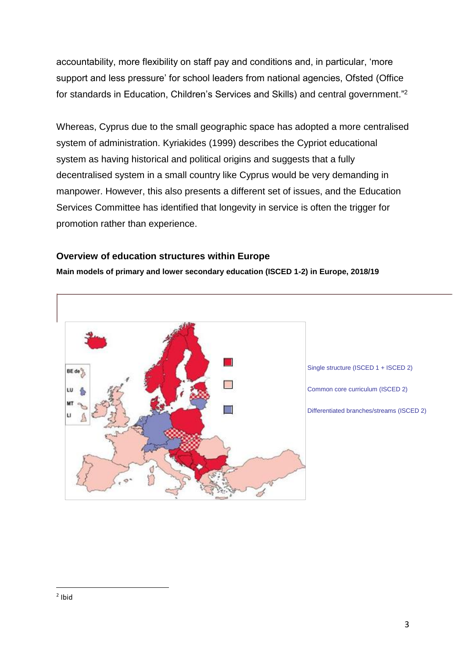accountability, more flexibility on staff pay and conditions and, in particular, 'more support and less pressure' for school leaders from national agencies, Ofsted (Office for standards in Education, Children's Services and Skills) and central government."<sup>2</sup>

Whereas, Cyprus due to the small geographic space has adopted a more centralised system of administration. Kyriakides (1999) describes the Cypriot educational system as having historical and political origins and suggests that a fully decentralised system in a small country like Cyprus would be very demanding in manpower. However, this also presents a different set of issues, and the Education Services Committee has identified that longevity in service is often the trigger for promotion rather than experience.

#### **Overview of education structures within Europe**

**Main models of primary and lower secondary education (ISCED 1-2) in Europe, 2018/19**

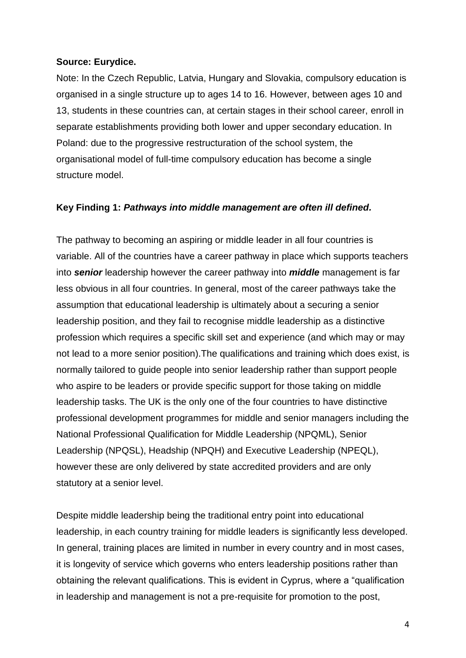#### **Source: Eurydice.**

Note: In the Czech Republic, Latvia, Hungary and Slovakia, compulsory education is organised in a single structure up to ages 14 to 16. However, between ages 10 and 13, students in these countries can, at certain stages in their school career, enroll in separate establishments providing both lower and upper secondary education. In Poland: due to the progressive restructuration of the school system, the organisational model of full-time compulsory education has become a single structure model.

### **Key Finding 1:** *Pathways into middle management are often ill defined.*

The pathway to becoming an aspiring or middle leader in all four countries is variable. All of the countries have a career pathway in place which supports teachers into *senior* leadership however the career pathway into *middle* management is far less obvious in all four countries. In general, most of the career pathways take the assumption that educational leadership is ultimately about a securing a senior leadership position, and they fail to recognise middle leadership as a distinctive profession which requires a specific skill set and experience (and which may or may not lead to a more senior position).The qualifications and training which does exist, is normally tailored to guide people into senior leadership rather than support people who aspire to be leaders or provide specific support for those taking on middle leadership tasks. The UK is the only one of the four countries to have distinctive professional development programmes for middle and senior managers including the National Professional Qualification for Middle Leadership (NPQML), Senior Leadership (NPQSL), Headship (NPQH) and Executive Leadership (NPEQL), however these are only delivered by state accredited providers and are only statutory at a senior level.

Despite middle leadership being the traditional entry point into educational leadership, in each country training for middle leaders is significantly less developed. In general, training places are limited in number in every country and in most cases, it is longevity of service which governs who enters leadership positions rather than obtaining the relevant qualifications. This is evident in Cyprus, where a "qualification in leadership and management is not a pre-requisite for promotion to the post,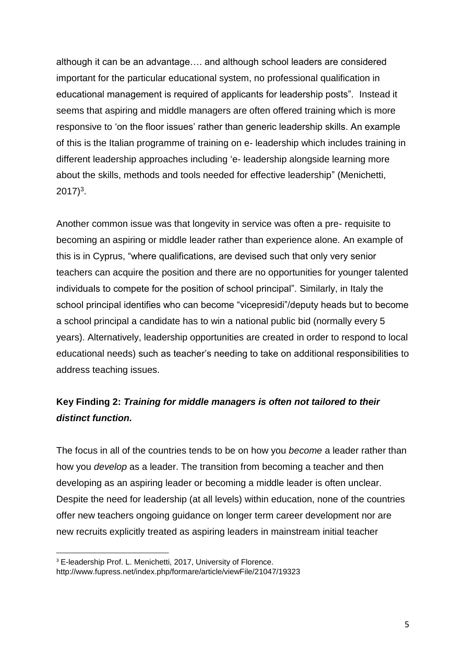although it can be an advantage…. and although school leaders are considered important for the particular educational system, no professional qualification in educational management is required of applicants for leadership posts". Instead it seems that aspiring and middle managers are often offered training which is more responsive to 'on the floor issues' rather than generic leadership skills. An example of this is the Italian programme of training on e- leadership which includes training in different leadership approaches including 'e- leadership alongside learning more about the skills, methods and tools needed for effective leadership" (Menichetti,  $2017)^3$ .

Another common issue was that longevity in service was often a pre- requisite to becoming an aspiring or middle leader rather than experience alone. An example of this is in Cyprus, "where qualifications, are devised such that only very senior teachers can acquire the position and there are no opportunities for younger talented individuals to compete for the position of school principal". Similarly, in Italy the school principal identifies who can become "vicepresidi"/deputy heads but to become a school principal a candidate has to win a national public bid (normally every 5 years). Alternatively, leadership opportunities are created in order to respond to local educational needs) such as teacher's needing to take on additional responsibilities to address teaching issues.

# **Key Finding 2:** *Training for middle managers is often not tailored to their distinct function.*

The focus in all of the countries tends to be on how you *become* a leader rather than how you *develop* as a leader. The transition from becoming a teacher and then developing as an aspiring leader or becoming a middle leader is often unclear. Despite the need for leadership (at all levels) within education, none of the countries offer new teachers ongoing guidance on longer term career development nor are new recruits explicitly treated as aspiring leaders in mainstream initial teacher

<sup>&</sup>lt;sup>3</sup> E-leadership Prof. L. Menichetti, 2017, University of Florence.

http://www.fupress.net/index.php/formare/article/viewFile/21047/19323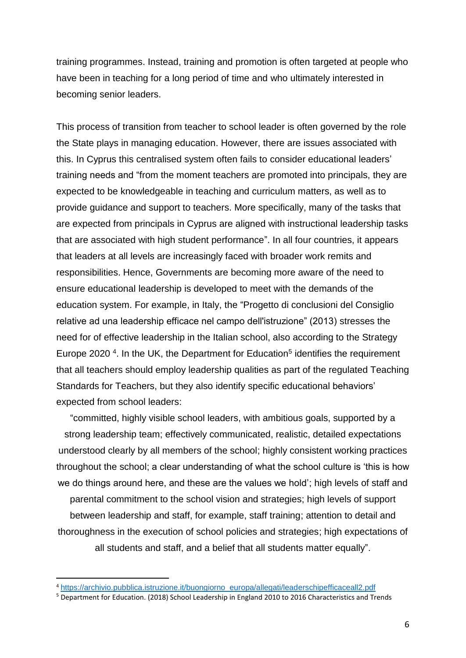training programmes. Instead, training and promotion is often targeted at people who have been in teaching for a long period of time and who ultimately interested in becoming senior leaders.

This process of transition from teacher to school leader is often governed by the role the State plays in managing education. However, there are issues associated with this. In Cyprus this centralised system often fails to consider educational leaders' training needs and "from the moment teachers are promoted into principals, they are expected to be knowledgeable in teaching and curriculum matters, as well as to provide guidance and support to teachers. More specifically, many of the tasks that are expected from principals in Cyprus are aligned with instructional leadership tasks that are associated with high student performance". In all four countries, it appears that leaders at all levels are increasingly faced with broader work remits and responsibilities. Hence, Governments are becoming more aware of the need to ensure educational leadership is developed to meet with the demands of the education system. For example, in Italy, the "Progetto di conclusioni del Consiglio relative ad una leadership efficace nel campo dell'istruzione" (2013) stresses the need for of effective leadership in the Italian school, also according to the Strategy Europe 2020<sup>4</sup>. In the UK, the Department for Education<sup>5</sup> identifies the requirement that all teachers should employ leadership qualities as part of the regulated Teaching Standards for Teachers, but they also identify specific educational behaviors' expected from school leaders:

"committed, highly visible school leaders, with ambitious goals, supported by a strong leadership team; effectively communicated, realistic, detailed expectations understood clearly by all members of the school; highly consistent working practices throughout the school; a clear understanding of what the school culture is 'this is how we do things around here, and these are the values we hold'; high levels of staff and parental commitment to the school vision and strategies; high levels of support between leadership and staff, for example, staff training; attention to detail and thoroughness in the execution of school policies and strategies; high expectations of all students and staff, and a belief that all students matter equally".

<sup>4</sup> [https://archivio.pubblica.istruzione.it/buongiorno\\_europa/allegati/leaderschipefficaceall2.pdf](https://archivio.pubblica.istruzione.it/buongiorno_europa/allegati/leaderschipefficaceall2.pdf)

<sup>5</sup> Department for Education. (2018) School Leadership in England 2010 to 2016 Characteristics and Trends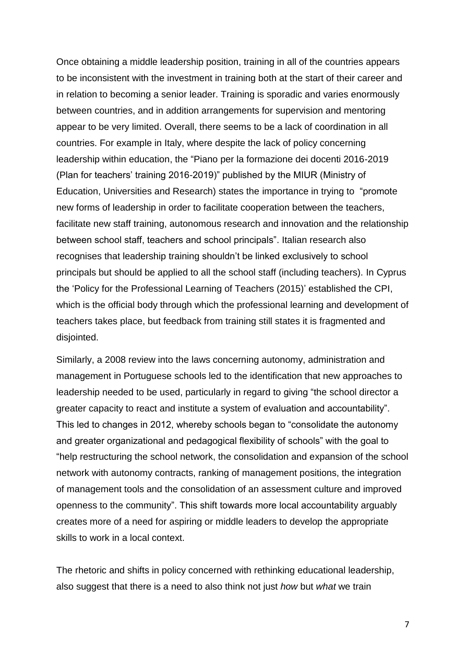Once obtaining a middle leadership position, training in all of the countries appears to be inconsistent with the investment in training both at the start of their career and in relation to becoming a senior leader. Training is sporadic and varies enormously between countries, and in addition arrangements for supervision and mentoring appear to be very limited. Overall, there seems to be a lack of coordination in all countries. For example in Italy, where despite the lack of policy concerning leadership within education, the "Piano per la formazione dei docenti 2016-2019 (Plan for teachers' training 2016-2019)" published by the MIUR (Ministry of Education, Universities and Research) states the importance in trying to "promote new forms of leadership in order to facilitate cooperation between the teachers, facilitate new staff training, autonomous research and innovation and the relationship between school staff, teachers and school principals". Italian research also recognises that leadership training shouldn't be linked exclusively to school principals but should be applied to all the school staff (including teachers). In Cyprus the 'Policy for the Professional Learning of Teachers (2015)' established the CPI, which is the official body through which the professional learning and development of teachers takes place, but feedback from training still states it is fragmented and disjointed.

Similarly, a 2008 review into the laws concerning autonomy, administration and management in Portuguese schools led to the identification that new approaches to leadership needed to be used, particularly in regard to giving "the school director a greater capacity to react and institute a system of evaluation and accountability". This led to changes in 2012, whereby schools began to "consolidate the autonomy and greater organizational and pedagogical flexibility of schools" with the goal to "help restructuring the school network, the consolidation and expansion of the school network with autonomy contracts, ranking of management positions, the integration of management tools and the consolidation of an assessment culture and improved openness to the community". This shift towards more local accountability arguably creates more of a need for aspiring or middle leaders to develop the appropriate skills to work in a local context.

The rhetoric and shifts in policy concerned with rethinking educational leadership, also suggest that there is a need to also think not just *how* but *what* we train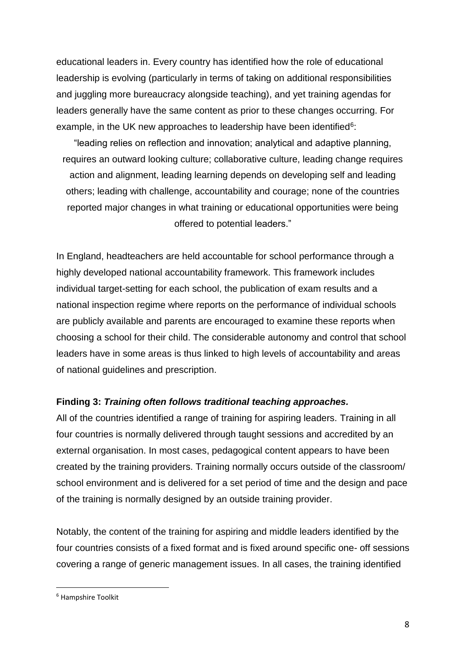educational leaders in. Every country has identified how the role of educational leadership is evolving (particularly in terms of taking on additional responsibilities and juggling more bureaucracy alongside teaching), and yet training agendas for leaders generally have the same content as prior to these changes occurring. For example, in the UK new approaches to leadership have been identified<sup>6</sup>:

"leading relies on reflection and innovation; analytical and adaptive planning, requires an outward looking culture; collaborative culture, leading change requires action and alignment, leading learning depends on developing self and leading others; leading with challenge, accountability and courage; none of the countries reported major changes in what training or educational opportunities were being offered to potential leaders."

In England, headteachers are held accountable for school performance through a highly developed national accountability framework. This framework includes individual target-setting for each school, the publication of exam results and a national inspection regime where reports on the performance of individual schools are publicly available and parents are encouraged to examine these reports when choosing a school for their child. The considerable autonomy and control that school leaders have in some areas is thus linked to high levels of accountability and areas of national guidelines and prescription.

## **Finding 3:** *Training often follows traditional teaching approaches.*

All of the countries identified a range of training for aspiring leaders. Training in all four countries is normally delivered through taught sessions and accredited by an external organisation. In most cases, pedagogical content appears to have been created by the training providers. Training normally occurs outside of the classroom/ school environment and is delivered for a set period of time and the design and pace of the training is normally designed by an outside training provider.

Notably, the content of the training for aspiring and middle leaders identified by the four countries consists of a fixed format and is fixed around specific one- off sessions covering a range of generic management issues. In all cases, the training identified

<sup>6</sup> Hampshire Toolkit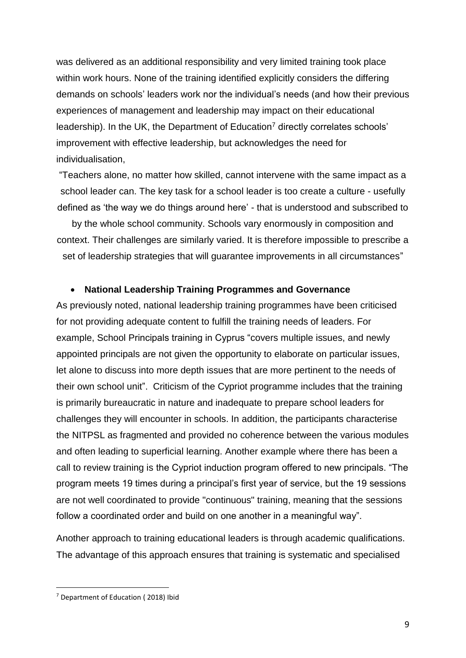was delivered as an additional responsibility and very limited training took place within work hours. None of the training identified explicitly considers the differing demands on schools' leaders work nor the individual's needs (and how their previous experiences of management and leadership may impact on their educational leadership). In the UK, the Department of Education<sup>7</sup> directly correlates schools' improvement with effective leadership, but acknowledges the need for individualisation,

"Teachers alone, no matter how skilled, cannot intervene with the same impact as a school leader can. The key task for a school leader is too create a culture - usefully defined as 'the way we do things around here' - that is understood and subscribed to

by the whole school community. Schools vary enormously in composition and context. Their challenges are similarly varied. It is therefore impossible to prescribe a set of leadership strategies that will guarantee improvements in all circumstances"

#### • **National Leadership Training Programmes and Governance**

As previously noted, national leadership training programmes have been criticised for not providing adequate content to fulfill the training needs of leaders. For example, School Principals training in Cyprus "covers multiple issues, and newly appointed principals are not given the opportunity to elaborate on particular issues, let alone to discuss into more depth issues that are more pertinent to the needs of their own school unit". Criticism of the Cypriot programme includes that the training is primarily bureaucratic in nature and inadequate to prepare school leaders for challenges they will encounter in schools. In addition, the participants characterise the NITPSL as fragmented and provided no coherence between the various modules and often leading to superficial learning. Another example where there has been a call to review training is the Cypriot induction program offered to new principals. "The program meets 19 times during a principal's first year of service, but the 19 sessions are not well coordinated to provide "continuous" training, meaning that the sessions follow a coordinated order and build on one another in a meaningful way".

Another approach to training educational leaders is through academic qualifications. The advantage of this approach ensures that training is systematic and specialised

<sup>7</sup> Department of Education ( 2018) Ibid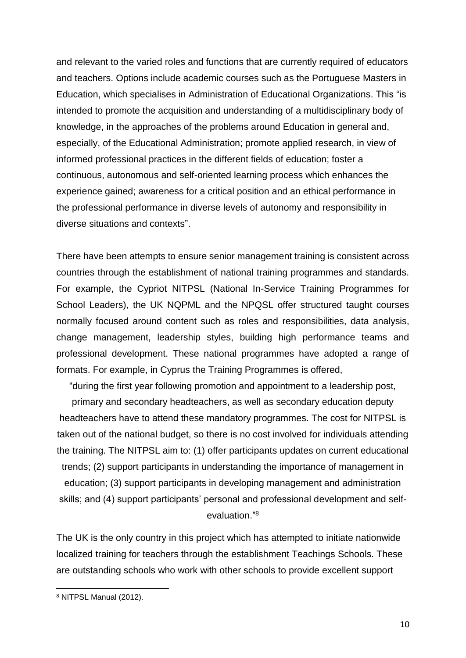and relevant to the varied roles and functions that are currently required of educators and teachers. Options include academic courses such as the Portuguese Masters in Education, which specialises in Administration of Educational Organizations. This "is intended to promote the acquisition and understanding of a multidisciplinary body of knowledge, in the approaches of the problems around Education in general and, especially, of the Educational Administration; promote applied research, in view of informed professional practices in the different fields of education; foster a continuous, autonomous and self-oriented learning process which enhances the experience gained; awareness for a critical position and an ethical performance in the professional performance in diverse levels of autonomy and responsibility in diverse situations and contexts".

There have been attempts to ensure senior management training is consistent across countries through the establishment of national training programmes and standards. For example, the Cypriot NITPSL (National In-Service Training Programmes for School Leaders), the UK NQPML and the NPQSL offer structured taught courses normally focused around content such as roles and responsibilities, data analysis, change management, leadership styles, building high performance teams and professional development. These national programmes have adopted a range of formats. For example, in Cyprus the Training Programmes is offered,

"during the first year following promotion and appointment to a leadership post,

primary and secondary headteachers, as well as secondary education deputy headteachers have to attend these mandatory programmes. The cost for NITPSL is taken out of the national budget, so there is no cost involved for individuals attending the training. The NITPSL aim to: (1) offer participants updates on current educational trends; (2) support participants in understanding the importance of management in education; (3) support participants in developing management and administration skills; and (4) support participants' personal and professional development and selfevaluation." 8

The UK is the only country in this project which has attempted to initiate nationwide localized training for teachers through the establishment Teachings Schools. These are outstanding schools who work with other schools to provide excellent support

<sup>8</sup> NITPSL Manual (2012).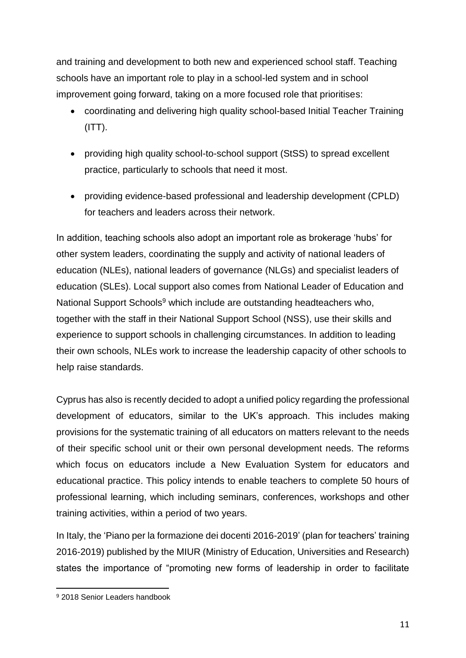and training and development to both new and experienced school staff. Teaching schools have an important role to play in a school-led system and in school improvement going forward, taking on a more focused role that prioritises:

- coordinating and delivering high quality school-based Initial Teacher Training  $(ITT)$ .
- providing high quality school-to-school support (StSS) to spread excellent practice, particularly to schools that need it most.
- providing evidence-based professional and leadership development (CPLD) for teachers and leaders across their network.

In addition, teaching schools also adopt an important role as brokerage 'hubs' for other system leaders, coordinating the supply and activity of national leaders of education (NLEs), national leaders of governance (NLGs) and specialist leaders of education (SLEs). Local support also comes from National Leader of Education and National Support Schools<sup>9</sup> which include are outstanding headteachers who, together with the staff in their National Support School (NSS), use their skills and experience to support schools in challenging circumstances. In addition to leading their own schools, NLEs work to increase the leadership capacity of other schools to help raise standards.

Cyprus has also is recently decided to adopt a unified policy regarding the professional development of educators, similar to the UK's approach. This includes making provisions for the systematic training of all educators on matters relevant to the needs of their specific school unit or their own personal development needs. The reforms which focus on educators include a New Evaluation System for educators and educational practice. This policy intends to enable teachers to complete 50 hours of professional learning, which including seminars, conferences, workshops and other training activities, within a period of two years.

In Italy, the 'Piano per la formazione dei docenti 2016-2019' (plan for teachers' training 2016-2019) published by the MIUR (Ministry of Education, Universities and Research) states the importance of "promoting new forms of leadership in order to facilitate

 $\overline{a}$ <sup>9</sup> 2018 Senior Leaders handbook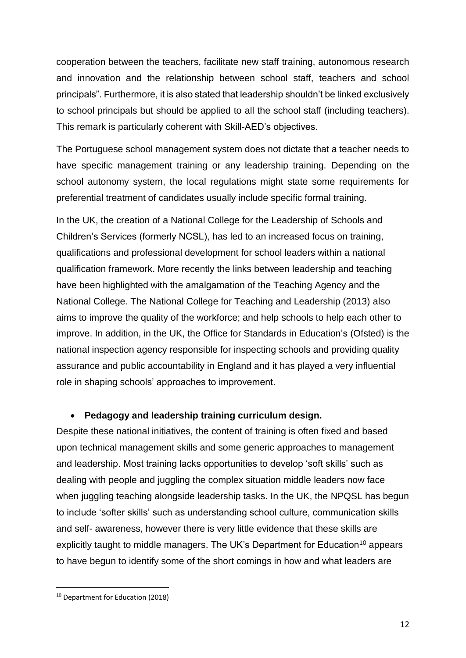cooperation between the teachers, facilitate new staff training, autonomous research and innovation and the relationship between school staff, teachers and school principals". Furthermore, it is also stated that leadership shouldn't be linked exclusively to school principals but should be applied to all the school staff (including teachers). This remark is particularly coherent with Skill-AED's objectives.

The Portuguese school management system does not dictate that a teacher needs to have specific management training or any leadership training. Depending on the school autonomy system, the local regulations might state some requirements for preferential treatment of candidates usually include specific formal training.

In the UK, the creation of a National College for the Leadership of Schools and Children's Services (formerly NCSL), has led to an increased focus on training, qualifications and professional development for school leaders within a national qualification framework. More recently the links between leadership and teaching have been highlighted with the amalgamation of the Teaching Agency and the National College. The National College for Teaching and Leadership (2013) also aims to improve the quality of the workforce; and help schools to help each other to improve. In addition, in the UK, the Office for Standards in Education's (Ofsted) is the national inspection agency responsible for inspecting schools and providing quality assurance and public accountability in England and it has played a very influential role in shaping schools' approaches to improvement.

## • **Pedagogy and leadership training curriculum design.**

Despite these national initiatives, the content of training is often fixed and based upon technical management skills and some generic approaches to management and leadership. Most training lacks opportunities to develop 'soft skills' such as dealing with people and juggling the complex situation middle leaders now face when juggling teaching alongside leadership tasks. In the UK, the NPQSL has begun to include 'softer skills' such as understanding school culture, communication skills and self- awareness, however there is very little evidence that these skills are explicitly taught to middle managers. The UK's Department for Education<sup>10</sup> appears to have begun to identify some of the short comings in how and what leaders are

<sup>10</sup> Department for Education (2018)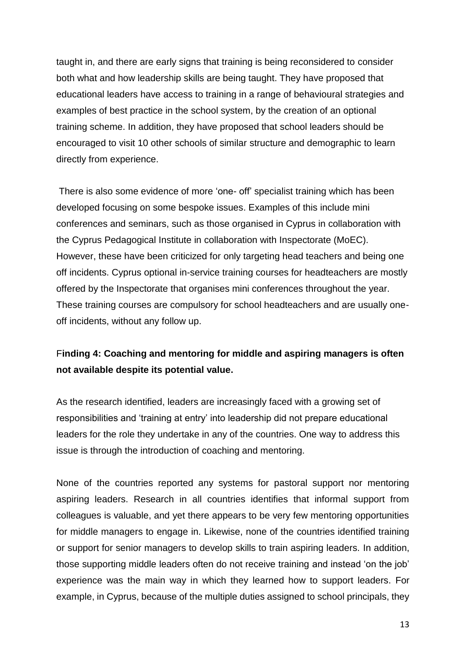taught in, and there are early signs that training is being reconsidered to consider both what and how leadership skills are being taught. They have proposed that educational leaders have access to training in a range of behavioural strategies and examples of best practice in the school system, by the creation of an optional training scheme. In addition, they have proposed that school leaders should be encouraged to visit 10 other schools of similar structure and demographic to learn directly from experience.

There is also some evidence of more 'one- off' specialist training which has been developed focusing on some bespoke issues. Examples of this include mini conferences and seminars, such as those organised in Cyprus in collaboration with the Cyprus Pedagogical Institute in collaboration with Inspectorate (MoEC). However, these have been criticized for only targeting head teachers and being one off incidents. Cyprus optional in-service training courses for headteachers are mostly offered by the Inspectorate that organises mini conferences throughout the year. These training courses are compulsory for school headteachers and are usually oneoff incidents, without any follow up.

# F**inding 4: Coaching and mentoring for middle and aspiring managers is often not available despite its potential value.**

As the research identified, leaders are increasingly faced with a growing set of responsibilities and 'training at entry' into leadership did not prepare educational leaders for the role they undertake in any of the countries. One way to address this issue is through the introduction of coaching and mentoring.

None of the countries reported any systems for pastoral support nor mentoring aspiring leaders. Research in all countries identifies that informal support from colleagues is valuable, and yet there appears to be very few mentoring opportunities for middle managers to engage in. Likewise, none of the countries identified training or support for senior managers to develop skills to train aspiring leaders. In addition, those supporting middle leaders often do not receive training and instead 'on the job' experience was the main way in which they learned how to support leaders. For example, in Cyprus, because of the multiple duties assigned to school principals, they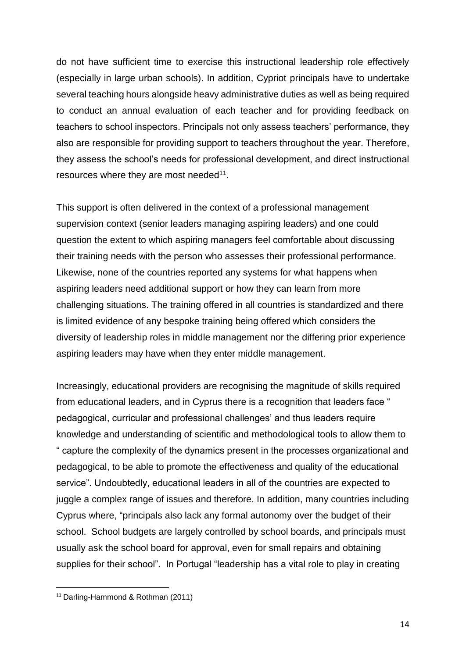do not have sufficient time to exercise this instructional leadership role effectively (especially in large urban schools). In addition, Cypriot principals have to undertake several teaching hours alongside heavy administrative duties as well as being required to conduct an annual evaluation of each teacher and for providing feedback on teachers to school inspectors. Principals not only assess teachers' performance, they also are responsible for providing support to teachers throughout the year. Therefore, they assess the school's needs for professional development, and direct instructional resources where they are most needed<sup>11</sup>.

This support is often delivered in the context of a professional management supervision context (senior leaders managing aspiring leaders) and one could question the extent to which aspiring managers feel comfortable about discussing their training needs with the person who assesses their professional performance. Likewise, none of the countries reported any systems for what happens when aspiring leaders need additional support or how they can learn from more challenging situations. The training offered in all countries is standardized and there is limited evidence of any bespoke training being offered which considers the diversity of leadership roles in middle management nor the differing prior experience aspiring leaders may have when they enter middle management.

Increasingly, educational providers are recognising the magnitude of skills required from educational leaders, and in Cyprus there is a recognition that leaders face " pedagogical, curricular and professional challenges' and thus leaders require knowledge and understanding of scientific and methodological tools to allow them to " capture the complexity of the dynamics present in the processes organizational and pedagogical, to be able to promote the effectiveness and quality of the educational service". Undoubtedly, educational leaders in all of the countries are expected to juggle a complex range of issues and therefore. In addition, many countries including Cyprus where, "principals also lack any formal autonomy over the budget of their school. School budgets are largely controlled by school boards, and principals must usually ask the school board for approval, even for small repairs and obtaining supplies for their school". In Portugal "leadership has a vital role to play in creating

<sup>11</sup> Darling-Hammond & Rothman (2011)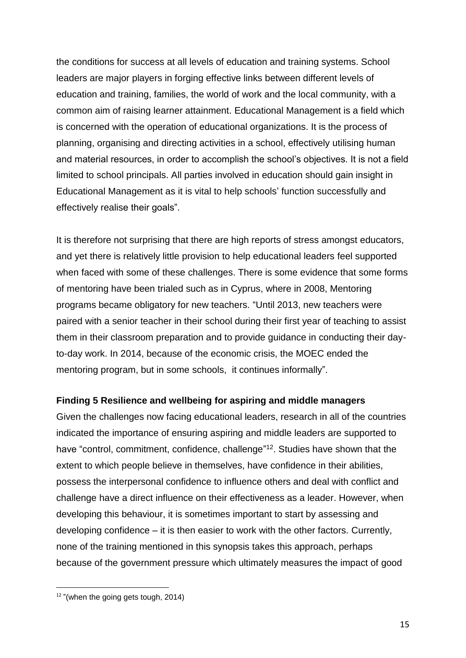the conditions for success at all levels of education and training systems. School leaders are major players in forging effective links between different levels of education and training, families, the world of work and the local community, with a common aim of raising learner attainment. Educational Management is a field which is concerned with the operation of educational organizations. It is the process of planning, organising and directing activities in a school, effectively utilising human and material resources, in order to accomplish the school's objectives. It is not a field limited to school principals. All parties involved in education should gain insight in Educational Management as it is vital to help schools' function successfully and effectively realise their goals".

It is therefore not surprising that there are high reports of stress amongst educators, and yet there is relatively little provision to help educational leaders feel supported when faced with some of these challenges. There is some evidence that some forms of mentoring have been trialed such as in Cyprus, where in 2008, Mentoring programs became obligatory for new teachers. "Until 2013, new teachers were paired with a senior teacher in their school during their first year of teaching to assist them in their classroom preparation and to provide guidance in conducting their dayto-day work. In 2014, because of the economic crisis, the MOEC ended the mentoring program, but in some schools, it continues informally".

## **Finding 5 Resilience and wellbeing for aspiring and middle managers**

Given the challenges now facing educational leaders, research in all of the countries indicated the importance of ensuring aspiring and middle leaders are supported to have "control, commitment, confidence, challenge"<sup>12</sup>. Studies have shown that the extent to which people believe in themselves, have confidence in their abilities, possess the interpersonal confidence to influence others and deal with conflict and challenge have a direct influence on their effectiveness as a leader. However, when developing this behaviour, it is sometimes important to start by assessing and developing confidence – it is then easier to work with the other factors. Currently, none of the training mentioned in this synopsis takes this approach, perhaps because of the government pressure which ultimately measures the impact of good

<sup>&</sup>lt;sup>12</sup> "(when the going gets tough, 2014)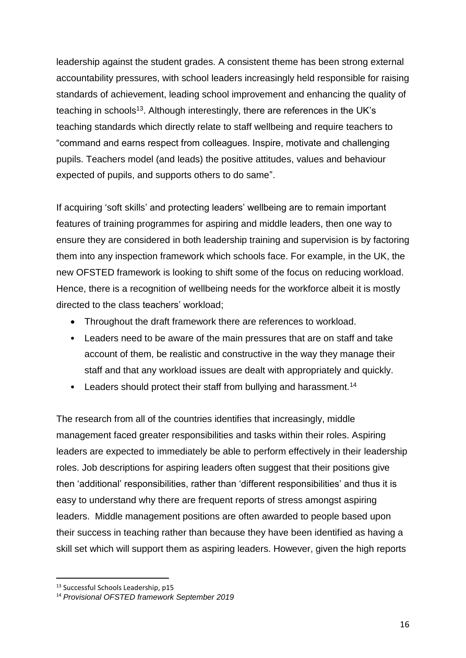leadership against the student grades. A consistent theme has been strong external accountability pressures, with school leaders increasingly held responsible for raising standards of achievement, leading school improvement and enhancing the quality of teaching in schools<sup>13</sup>. Although interestingly, there are references in the UK's teaching standards which directly relate to staff wellbeing and require teachers to "command and earns respect from colleagues. Inspire, motivate and challenging pupils. Teachers model (and leads) the positive attitudes, values and behaviour expected of pupils, and supports others to do same".

If acquiring 'soft skills' and protecting leaders' wellbeing are to remain important features of training programmes for aspiring and middle leaders, then one way to ensure they are considered in both leadership training and supervision is by factoring them into any inspection framework which schools face. For example, in the UK, the new OFSTED framework is looking to shift some of the focus on reducing workload. Hence, there is a recognition of wellbeing needs for the workforce albeit it is mostly directed to the class teachers' workload;

- Throughout the draft framework there are references to workload.
- Leaders need to be aware of the main pressures that are on staff and take account of them, be realistic and constructive in the way they manage their staff and that any workload issues are dealt with appropriately and quickly.
- Leaders should protect their staff from bullying and harassment.<sup>14</sup>

The research from all of the countries identifies that increasingly, middle management faced greater responsibilities and tasks within their roles. Aspiring leaders are expected to immediately be able to perform effectively in their leadership roles. Job descriptions for aspiring leaders often suggest that their positions give then 'additional' responsibilities, rather than 'different responsibilities' and thus it is easy to understand why there are frequent reports of stress amongst aspiring leaders. Middle management positions are often awarded to people based upon their success in teaching rather than because they have been identified as having a skill set which will support them as aspiring leaders. However, given the high reports

<sup>&</sup>lt;sup>13</sup> Successful Schools Leadership, p15

<sup>14</sup> *Provisional OFSTED framework September 2019*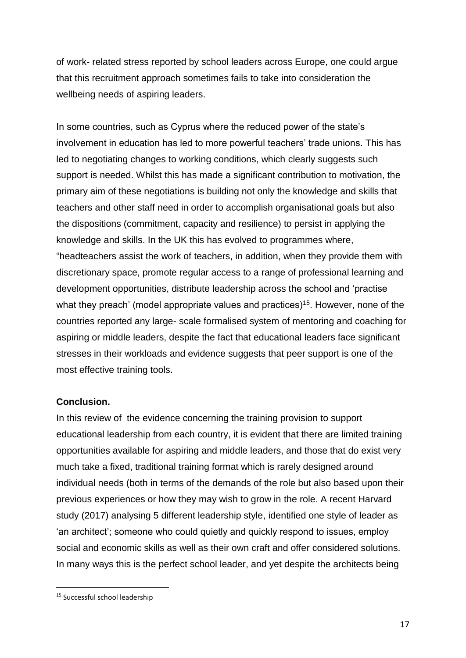of work- related stress reported by school leaders across Europe, one could argue that this recruitment approach sometimes fails to take into consideration the wellbeing needs of aspiring leaders.

In some countries, such as Cyprus where the reduced power of the state's involvement in education has led to more powerful teachers' trade unions. This has led to negotiating changes to working conditions, which clearly suggests such support is needed. Whilst this has made a significant contribution to motivation, the primary aim of these negotiations is building not only the knowledge and skills that teachers and other staff need in order to accomplish organisational goals but also the dispositions (commitment, capacity and resilience) to persist in applying the knowledge and skills. In the UK this has evolved to programmes where, "headteachers assist the work of teachers, in addition, when they provide them with discretionary space, promote regular access to a range of professional learning and development opportunities, distribute leadership across the school and 'practise what they preach' (model appropriate values and practices)<sup>15</sup>. However, none of the countries reported any large- scale formalised system of mentoring and coaching for aspiring or middle leaders, despite the fact that educational leaders face significant stresses in their workloads and evidence suggests that peer support is one of the most effective training tools.

## **Conclusion.**

In this review of the evidence concerning the training provision to support educational leadership from each country, it is evident that there are limited training opportunities available for aspiring and middle leaders, and those that do exist very much take a fixed, traditional training format which is rarely designed around individual needs (both in terms of the demands of the role but also based upon their previous experiences or how they may wish to grow in the role. A recent Harvard study (2017) analysing 5 different leadership style, identified one style of leader as 'an architect'; someone who could quietly and quickly respond to issues, employ social and economic skills as well as their own craft and offer considered solutions. In many ways this is the perfect school leader, and yet despite the architects being

<sup>&</sup>lt;sup>15</sup> Successful school leadership